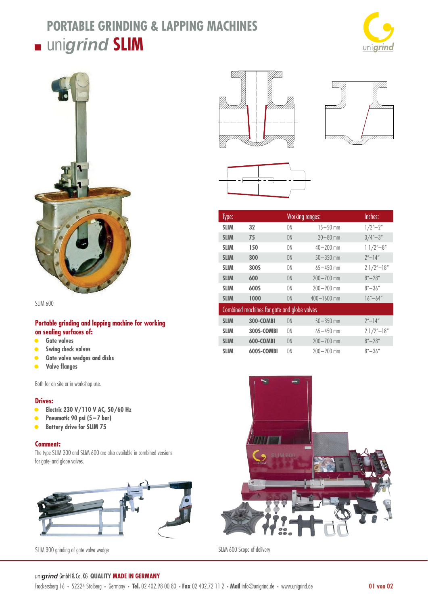# **PORTABLE GRINDING & LAPPING MACHINES**

## uni*grind* **SLIM**





SLIM 600

#### **Portable grinding and lapping machine for working on sealing surfaces of:**

- **• Gate valves**
- **Swing check valves**
- **Gate valve wedges and disks**
- **•** Valve flanges

Both for on site or in workshop use.

#### **Drives:**

- **• Electric 230 V/110 V AC, 50/60 Hz**
- **• Pneumatic 90 psi (5 7 bar)**
- **• Battery drive for SLIM 75**

#### **Comment:**

The type SLIM 300 and SLIM 600 are also available in combined versions for gate- and globe valves.



SLIM 300 grinding of gate valve wedge SLIM 600 Scope of delivery







| Type:                                       |                  | <b>Working ranges:</b> |                 | Inches:                                  |
|---------------------------------------------|------------------|------------------------|-----------------|------------------------------------------|
| <b>SLIM</b>                                 | 32               | DN                     | $15 - 50$ mm    | $1/2'' - 2''$                            |
| <b>SLIM</b>                                 | 75               | DN                     | $20 - 80$ mm    | $3/4 - 3''$                              |
| <b>SLIM</b>                                 | 150              | DN                     | $40 - 200$ mm   | $11/2 - 8''$                             |
| <b>SLIM</b>                                 | 300              | DN                     | $50 - 350$ mm   | $2^{\prime\prime}$ -14 $^{\prime\prime}$ |
| <b>SLIM</b>                                 | 300S             | DN                     | $65 - 450$ mm   | $21/2$ "-18"                             |
| <b>SLIM</b>                                 | 600              | DN                     | $200 - 700$ mm  | $8'' - 28''$                             |
| <b>SLIM</b>                                 | 600S             | DN                     | $200 - 900$ mm  | $8'' - 36''$                             |
| <b>SLIM</b>                                 | 1000             | DN                     | $400 - 1600$ mm | $16'' - 64''$                            |
| Combined machines for gate and globe valves |                  |                        |                 |                                          |
| <b>SLIM</b>                                 | 300-COMBI        | DN                     | $50 - 350$ mm   | $2^{\prime\prime}$ -14 $^{\prime\prime}$ |
| <b>SLIM</b>                                 | 300S-COMBI       | DN                     | $65 - 450$ mm   | $21/2"$ -18"                             |
| <b>SLIM</b>                                 | <b>600-COMBI</b> | DN                     | $200 - 700$ mm  | $8'' - 28''$                             |
| <b>SLIM</b>                                 | 600S-COMBI       | DN                     | $200 - 900$ mm  | $8'' - 36''$                             |



#### uni*grind* GmbH & Co. KG **QUALITY MADE IN GERMANY**